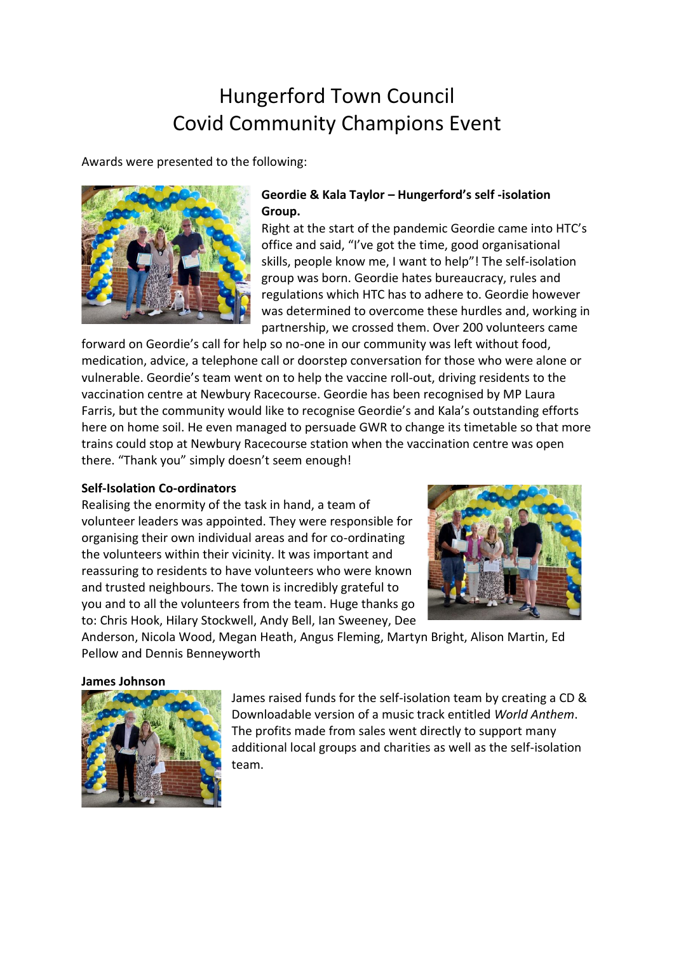# Hungerford Town Council Covid Community Champions Event

Awards were presented to the following:



# **Geordie & Kala Taylor – Hungerford's self -isolation Group.**

Right at the start of the pandemic Geordie came into HTC's office and said, "I've got the time, good organisational skills, people know me, I want to help"! The self-isolation group was born. Geordie hates bureaucracy, rules and regulations which HTC has to adhere to. Geordie however was determined to overcome these hurdles and, working in partnership, we crossed them. Over 200 volunteers came

forward on Geordie's call for help so no-one in our community was left without food, medication, advice, a telephone call or doorstep conversation for those who were alone or vulnerable. Geordie's team went on to help the vaccine roll-out, driving residents to the vaccination centre at Newbury Racecourse. Geordie has been recognised by MP Laura Farris, but the community would like to recognise Geordie's and Kala's outstanding efforts here on home soil. He even managed to persuade GWR to change its timetable so that more trains could stop at Newbury Racecourse station when the vaccination centre was open there. "Thank you" simply doesn't seem enough!

## **Self-Isolation Co-ordinators**

Realising the enormity of the task in hand, a team of volunteer leaders was appointed. They were responsible for organising their own individual areas and for co-ordinating the volunteers within their vicinity. It was important and reassuring to residents to have volunteers who were known and trusted neighbours. The town is incredibly grateful to you and to all the volunteers from the team. Huge thanks go to: Chris Hook, Hilary Stockwell, Andy Bell, Ian Sweeney, Dee



Anderson, Nicola Wood, Megan Heath, Angus Fleming, Martyn Bright, Alison Martin, Ed Pellow and Dennis Benneyworth

#### **James Johnson**



James raised funds for the self-isolation team by creating a CD & Downloadable version of a music track entitled *World Anthem*. The profits made from sales went directly to support many additional local groups and charities as well as the self-isolation team.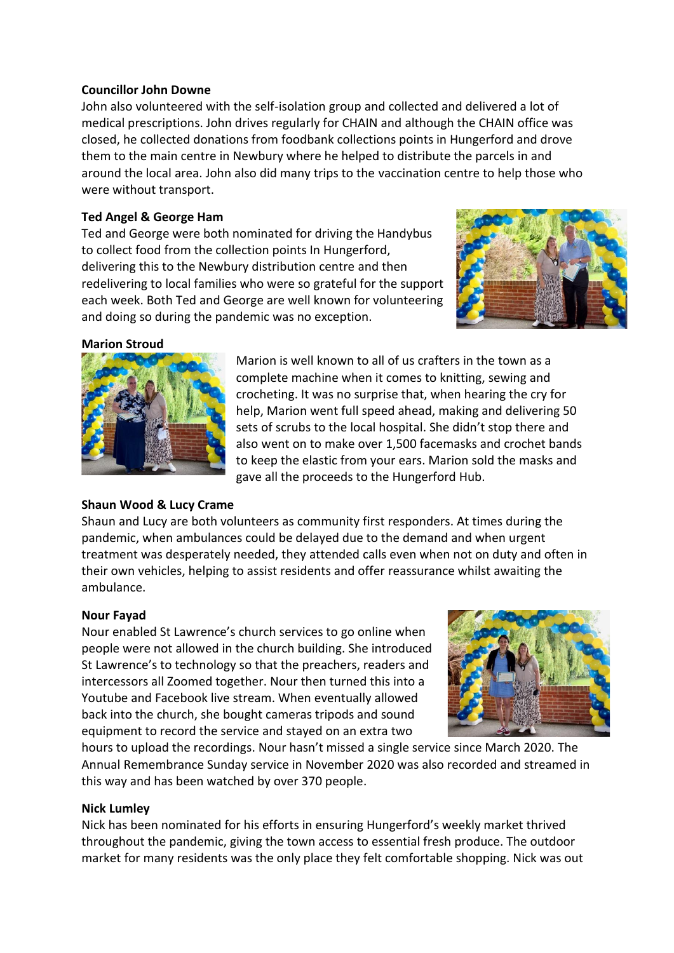## **Councillor John Downe**

John also volunteered with the self-isolation group and collected and delivered a lot of medical prescriptions. John drives regularly for CHAIN and although the CHAIN office was closed, he collected donations from foodbank collections points in Hungerford and drove them to the main centre in Newbury where he helped to distribute the parcels in and around the local area. John also did many trips to the vaccination centre to help those who were without transport.

# **Ted Angel & George Ham**

Ted and George were both nominated for driving the Handybus to collect food from the collection points In Hungerford, delivering this to the Newbury distribution centre and then redelivering to local families who were so grateful for the support each week. Both Ted and George are well known for volunteering and doing so during the pandemic was no exception.



## **Marion Stroud**



# **Shaun Wood & Lucy Crame**

Marion is well known to all of us crafters in the town as a complete machine when it comes to knitting, sewing and crocheting. It was no surprise that, when hearing the cry for help, Marion went full speed ahead, making and delivering 50 sets of scrubs to the local hospital. She didn't stop there and also went on to make over 1,500 facemasks and crochet bands to keep the elastic from your ears. Marion sold the masks and gave all the proceeds to the Hungerford Hub.

Shaun and Lucy are both volunteers as community first responders. At times during the pandemic, when ambulances could be delayed due to the demand and when urgent treatment was desperately needed, they attended calls even when not on duty and often in their own vehicles, helping to assist residents and offer reassurance whilst awaiting the ambulance.

# **Nour Fayad**

Nour enabled St Lawrence's church services to go online when people were not allowed in the church building. She introduced St Lawrence's to technology so that the preachers, readers and intercessors all Zoomed together. Nour then turned this into a Youtube and Facebook live stream. When eventually allowed back into the church, she bought cameras tripods and sound equipment to record the service and stayed on an extra two



hours to upload the recordings. Nour hasn't missed a single service since March 2020. The Annual Remembrance Sunday service in November 2020 was also recorded and streamed in this way and has been watched by over 370 people.

## **Nick Lumley**

Nick has been nominated for his efforts in ensuring Hungerford's weekly market thrived throughout the pandemic, giving the town access to essential fresh produce. The outdoor market for many residents was the only place they felt comfortable shopping. Nick was out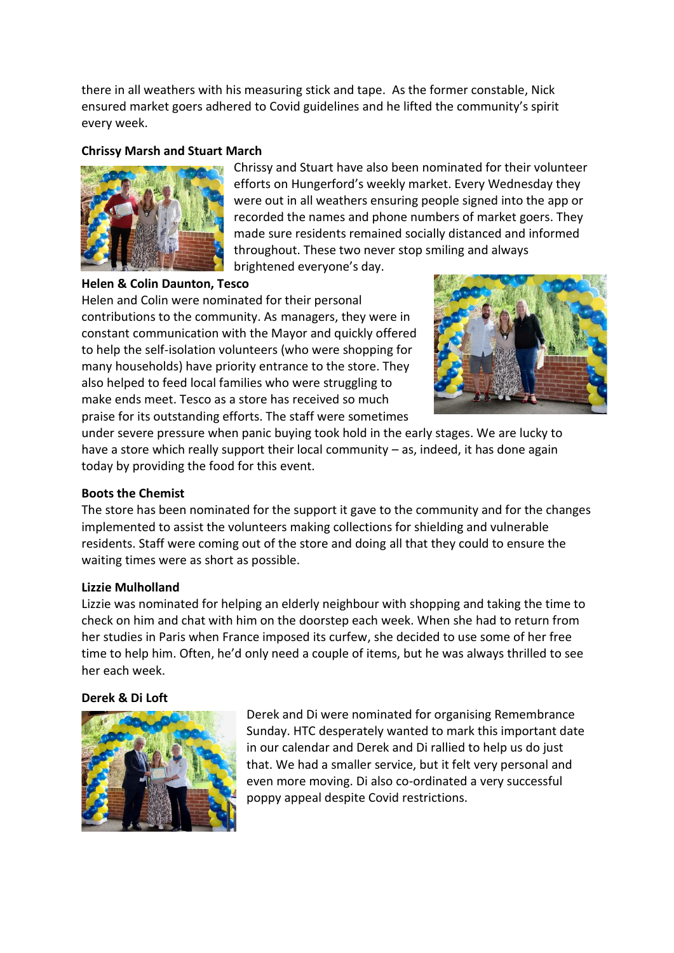there in all weathers with his measuring stick and tape. As the former constable, Nick ensured market goers adhered to Covid guidelines and he lifted the community's spirit every week.

## **Chrissy Marsh and Stuart March**



Chrissy and Stuart have also been nominated for their volunteer efforts on Hungerford's weekly market. Every Wednesday they were out in all weathers ensuring people signed into the app or recorded the names and phone numbers of market goers. They made sure residents remained socially distanced and informed throughout. These two never stop smiling and always brightened everyone's day.

## **Helen & Colin Daunton, Tesco**

Helen and Colin were nominated for their personal contributions to the community. As managers, they were in constant communication with the Mayor and quickly offered to help the self-isolation volunteers (who were shopping for many households) have priority entrance to the store. They also helped to feed local families who were struggling to make ends meet. Tesco as a store has received so much praise for its outstanding efforts. The staff were sometimes



under severe pressure when panic buying took hold in the early stages. We are lucky to have a store which really support their local community – as, indeed, it has done again today by providing the food for this event.

#### **Boots the Chemist**

The store has been nominated for the support it gave to the community and for the changes implemented to assist the volunteers making collections for shielding and vulnerable residents. Staff were coming out of the store and doing all that they could to ensure the waiting times were as short as possible.

#### **Lizzie Mulholland**

Lizzie was nominated for helping an elderly neighbour with shopping and taking the time to check on him and chat with him on the doorstep each week. When she had to return from her studies in Paris when France imposed its curfew, she decided to use some of her free time to help him. Often, he'd only need a couple of items, but he was always thrilled to see her each week.

#### **Derek & Di Loft**



Derek and Di were nominated for organising Remembrance Sunday. HTC desperately wanted to mark this important date in our calendar and Derek and Di rallied to help us do just that. We had a smaller service, but it felt very personal and even more moving. Di also co-ordinated a very successful poppy appeal despite Covid restrictions.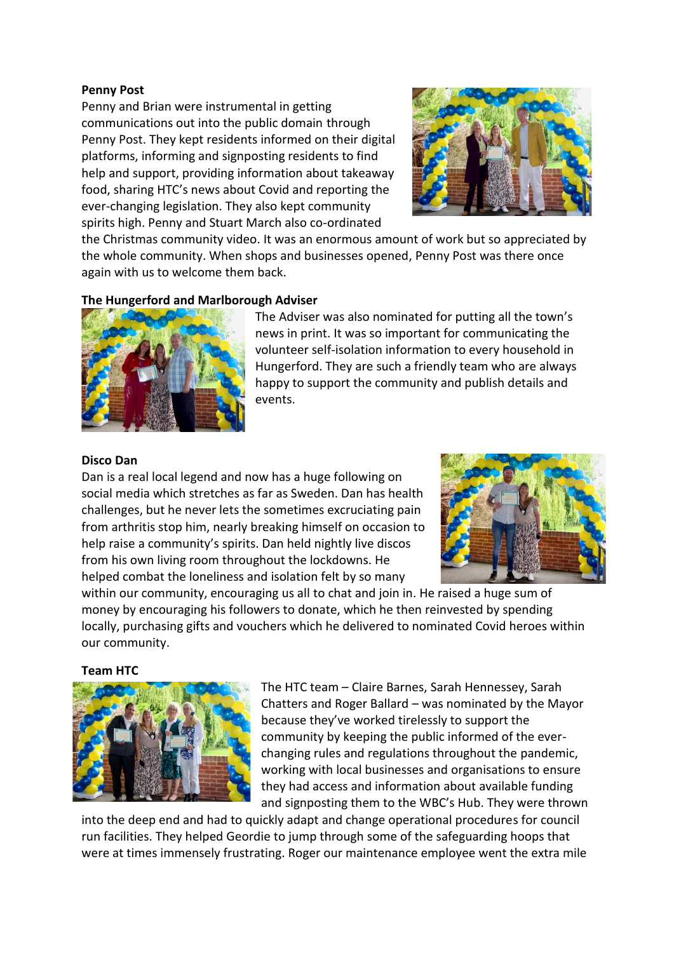## **Penny Post**

Penny and Brian were instrumental in getting communications out into the public domain through Penny Post. They kept residents informed on their digital platforms, informing and signposting residents to find help and support, providing information about takeaway food, sharing HTC's news about Covid and reporting the ever-changing legislation. They also kept community spirits high. Penny and Stuart March also co-ordinated



the Christmas community video. It was an enormous amount of work but so appreciated by the whole community. When shops and businesses opened, Penny Post was there once again with us to welcome them back.

## **The Hungerford and Marlborough Adviser**



The Adviser was also nominated for putting all the town's news in print. It was so important for communicating the volunteer self-isolation information to every household in Hungerford. They are such a friendly team who are always happy to support the community and publish details and events.

#### **Disco Dan**

Dan is a real local legend and now has a huge following on social media which stretches as far as Sweden. Dan has health challenges, but he never lets the sometimes excruciating pain from arthritis stop him, nearly breaking himself on occasion to help raise a community's spirits. Dan held nightly live discos from his own living room throughout the lockdowns. He helped combat the loneliness and isolation felt by so many



within our community, encouraging us all to chat and join in. He raised a huge sum of money by encouraging his followers to donate, which he then reinvested by spending locally, purchasing gifts and vouchers which he delivered to nominated Covid heroes within our community.

**Team HTC**



The HTC team – Claire Barnes, Sarah Hennessey, Sarah Chatters and Roger Ballard – was nominated by the Mayor because they've worked tirelessly to support the community by keeping the public informed of the everchanging rules and regulations throughout the pandemic, working with local businesses and organisations to ensure they had access and information about available funding and signposting them to the WBC's Hub. They were thrown

into the deep end and had to quickly adapt and change operational procedures for council run facilities. They helped Geordie to jump through some of the safeguarding hoops that were at times immensely frustrating. Roger our maintenance employee went the extra mile